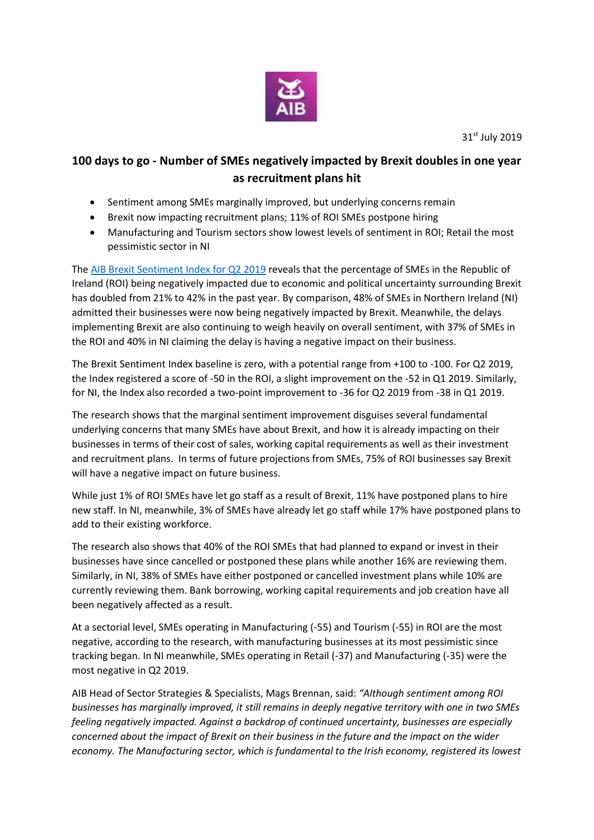

31<sup>st</sup> July 2019

## **100 days to go - Number of SMEs negatively impacted by Brexit doubles in one year as recruitment plans hit**

- Sentiment among SMEs marginally improved, but underlying concerns remain
- Brexit now impacting recruitment plans; 11% of ROI SMEs postpone hiring
- Manufacturing and Tourism sectors show lowest levels of sentiment in ROI; Retail the most pessimistic sector in NI

The [AIB Brexit Sentiment Index for Q2](https://aib.ie/content/dam/aib/fxcentre/docs/brexit-sentiment-index-q2-2019.pdf) 2019 reveals that the percentage of SMEs in the Republic of Ireland (ROI) being negatively impacted due to economic and political uncertainty surrounding Brexit has doubled from 21% to 42% in the past year. By comparison, 48% of SMEs in Northern Ireland (NI) admitted their businesses were now being negatively impacted by Brexit. Meanwhile, the delays implementing Brexit are also continuing to weigh heavily on overall sentiment, with 37% of SMEs in the ROI and 40% in NI claiming the delay is having a negative impact on their business.

The Brexit Sentiment Index baseline is zero, with a potential range from +100 to -100. For Q2 2019, the Index registered a score of -50 in the ROI, a slight improvement on the -52 in Q1 2019. Similarly, for NI, the Index also recorded a two-point improvement to -36 for Q2 2019 from -38 in Q1 2019.

The research shows that the marginal sentiment improvement disguises several fundamental underlying concerns that many SMEs have about Brexit, and how it is already impacting on their businesses in terms of their cost of sales, working capital requirements as well as their investment and recruitment plans. In terms of future projections from SMEs, 75% of ROI businesses say Brexit will have a negative impact on future business.

While just 1% of ROI SMEs have let go staff as a result of Brexit, 11% have postponed plans to hire new staff. In NI, meanwhile, 3% of SMEs have already let go staff while 17% have postponed plans to add to their existing workforce.

The research also shows that 40% of the ROI SMEs that had planned to expand or invest in their businesses have since cancelled or postponed these plans while another 16% are reviewing them. Similarly, in NI, 38% of SMEs have either postponed or cancelled investment plans while 10% are currently reviewing them. Bank borrowing, working capital requirements and job creation have all been negatively affected as a result.

At a sectorial level, SMEs operating in Manufacturing (-55) and Tourism (-55) in ROI are the most negative, according to the research, with manufacturing businesses at its most pessimistic since tracking began. In NI meanwhile, SMEs operating in Retail (-37) and Manufacturing (-35) were the most negative in Q2 2019.

AIB Head of Sector Strategies & Specialists, Mags Brennan, said: *"Although sentiment among ROI businesses has marginally improved, it still remains in deeply negative territory with one in two SMEs feeling negatively impacted. Against a backdrop of continued uncertainty, businesses are especially concerned about the impact of Brexit on their business in the future and the impact on the wider economy. The Manufacturing sector, which is fundamental to the Irish economy, registered its lowest*